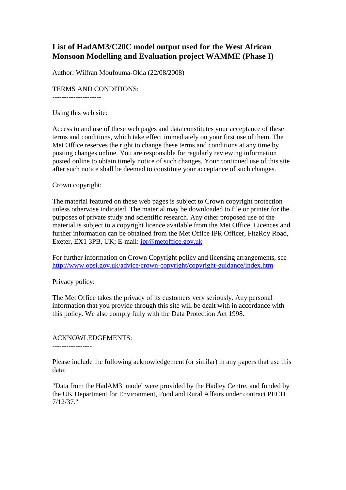# **List of HadAM3/C20C model output used for the West African Monsoon Modelling and Evaluation project WAMME (Phase I)**

Author: Wilfran Moufouma-Okia (22/08/2008)

### TERMS AND CONDITIONS:

---------------------

Using this web site:

Access to and use of these web pages and data constitutes your acceptance of these terms and conditions, which take effect immediately on your first use of them. The Met Office reserves the right to change these terms and conditions at any time by posting changes online. You are responsible for regularly reviewing information posted online to obtain timely notice of such changes. Your continued use of this site after such notice shall be deemed to constitute your acceptance of such changes.

#### Crown copyright:

The material featured on these web pages is subject to Crown copyright protection unless otherwise indicated. The material may be downloaded to file or printer for the purposes of private study and scientific research. Any other proposed use of the material is subject to a copyright licence available from the Met Office. Licences and further information can be obtained from the Met Office IPR Officer, FitzRoy Road, Exeter, EX1 3PB, UK; E-mail: ipr@metoffice.gov.uk

For further information on Crown Copyright policy and licensing arrangements, see http://www.opsi.gov.uk/advice/crown-copyright/copyright-guidance/index.htm

Privacy policy:

-----------------

The Met Office takes the privacy of its customers very seriously. Any personal information that you provide through this site will be dealt with in accordance with this policy. We also comply fully with the Data Protection Act 1998.

# ACKNOWLEDGEMENTS:

Please include the following acknowledgement (or similar) in any papers that use this data:

"Data from the HadAM3 model were provided by the Hadley Centre, and funded by the UK Department for Environment, Food and Rural Affairs under contract PECD 7/12/37."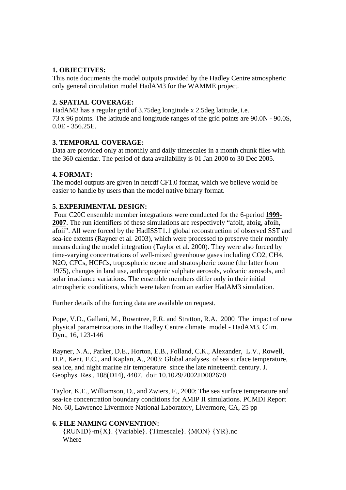## **1. OBJECTIVES:**

This note documents the model outputs provided by the Hadley Centre atmospheric only general circulation model HadAM3 for the WAMME project.

#### **2. SPATIAL COVERAGE:**

HadAM3 has a regular grid of 3.75deg longitude x 2.5deg latitude, i.e. 73 x 96 points. The latitude and longitude ranges of the grid points are 90.0N - 90.0S, 0.0E - 356.25E.

### **3. TEMPORAL COVERAGE:**

Data are provided only at monthly and daily timescales in a month chunk files with the 360 calendar. The period of data availability is 01 Jan 2000 to 30 Dec 2005.

### **4. FORMAT:**

The model outputs are given in netcdf CF1.0 format, which we believe would be easier to handle by users than the model native binary format.

### **5. EXPERIMENTAL DESIGN:**

 Four C20C ensemble member integrations were conducted for the 6-period **1999- 2007**. The run identifiers of these simulations are respectively "afoif, afoig, afoih, afoii". All were forced by the HadISST1.1 global reconstruction of observed SST and sea-ice extents (Rayner et al. 2003), which were processed to preserve their monthly means during the model integration (Taylor et al. 2000). They were also forced by time-varying concentrations of well-mixed greenhouse gases including CO2, CH4, N2O, CFCs, HCFCs, tropospheric ozone and stratospheric ozone (the latter from 1975), changes in land use, anthropogenic sulphate aerosols, volcanic aerosols, and solar irradiance variations. The ensemble members differ only in their initial atmospheric conditions, which were taken from an earlier HadAM3 simulation.

Further details of the forcing data are available on request.

Pope, V.D., Gallani, M., Rowntree, P.R. and Stratton, R.A. 2000 The impact of new physical parametrizations in the Hadley Centre climate model - HadAM3. Clim. Dyn., 16, 123-146

Rayner, N.A., Parker, D.E., Horton, E.B., Folland, C.K., Alexander, L.V., Rowell, D.P., Kent, E.C., and Kaplan, A., 2003: Global analyses of sea surface temperature, sea ice, and night marine air temperature since the late nineteenth century. J. Geophys. Res., 108(D14), 4407, doi: 10.1029/2002JD002670

Taylor, K.E., Williamson, D., and Zwiers, F., 2000: The sea surface temperature and sea-ice concentration boundary conditions for AMIP II simulations. PCMDI Report No. 60, Lawrence Livermore National Laboratory, Livermore, CA, 25 pp

# **6. FILE NAMING CONVENTION:**

{RUNID}-m{X}. {Variable}. {Timescale}. {MON} {YR}.nc Where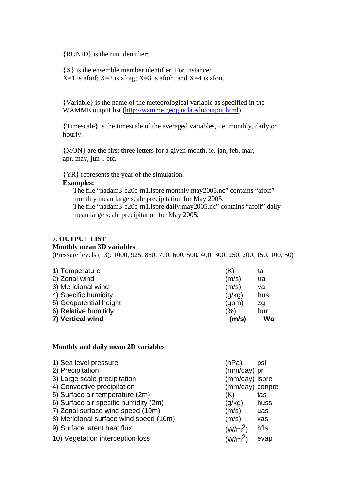{RUNID} is the run identifier;

 ${X}$  is the ensemble member identifier. For instance:  $X=1$  is afoif;  $X=2$  is afoig;  $X=3$  is afoih, and  $X=4$  is afoii.

{Variable} is the name of the meteorological variable as specified in the WAMME output list (http://wamme.geog.ucla.edu/output.html).

{Timescale} is the timescale of the averaged variables, i.e. monthly, daily or hourly.

{MON} are the first three letters for a given month, ie. jan, feb, mar, apr, may, jun .. etc.

{YR} represents the year of the simulation. **Examples:** 

- The file "hadam3-c20c-m1.lspre.monthly.may2005.nc" contains "afoif" monthly mean large scale precipitation for May 2005;
- The file "hadam3-c20c-m1.lspre.daily.may2005.nc" contains "afoif" daily mean large scale precipitation for May 2005;

### **7. OUTPUT LIST**

#### **Monthly mean 3D variables**

(Pressure levels (13): 1000, 925, 850, 700, 600, 500, 400, 300, 250, 200, 150, 100, 50)

| (% )   | zg<br>hur |
|--------|-----------|
|        |           |
|        |           |
| (q/kg) | hus       |
| (m/s)  | va        |
| (m/s)  | ua        |
| (K)    | ta        |
|        | (qpm)     |

#### **Monthly and daily mean 2D variables**

| 1) Sea level pressure                  | (hPa)               | psl  |
|----------------------------------------|---------------------|------|
| 2) Precipitation                       | (mm/day) pr         |      |
| 3) Large scale precipitation           | (mm/day) Ispre      |      |
| 4) Convective precipitation            | (mm/day) conpre     |      |
| 5) Surface air temperature (2m)        | (K)                 | tas  |
| 6) Surface air specific humidity (2m)  | (g/kg)              | huss |
| 7) Zonal surface wind speed (10m)      | (m/s)               | uas  |
| 8) Meridional surface wind speed (10m) | (m/s)               | vas  |
| 9) Surface latent heat flux            | (W/m <sup>2</sup> ) | hfls |
| 10) Vegetation interception loss       | (W/m <sup>2</sup> ) | evap |